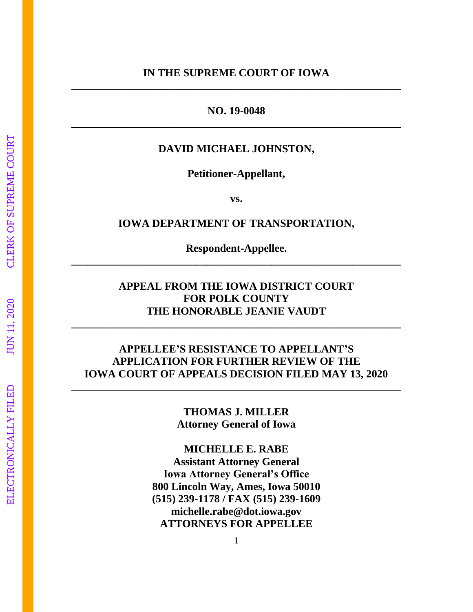**NO. 19-0048 \_\_\_\_\_\_\_\_\_\_\_\_\_\_\_\_\_\_\_\_\_\_\_\_\_\_\_\_\_\_\_\_\_\_\_\_\_\_\_\_\_\_\_\_\_\_\_\_\_\_\_\_\_\_\_\_\_\_\_\_\_**

### **DAVID MICHAEL JOHNSTON,**

**Petitioner-Appellant,** 

**vs.**

### **IOWA DEPARTMENT OF TRANSPORTATION,**

**Respondent-Appellee. \_\_\_\_\_\_\_\_\_\_\_\_\_\_\_\_\_\_\_\_\_\_\_\_\_\_\_\_\_\_\_\_\_\_\_\_\_\_\_\_\_\_\_\_\_\_\_\_\_\_\_\_\_\_\_\_\_\_\_\_\_**

## **APPEAL FROM THE IOWA DISTRICT COURT FOR POLK COUNTY THE HONORABLE JEANIE VAUDT**

**\_\_\_\_\_\_\_\_\_\_\_\_\_\_\_\_\_\_\_\_\_\_\_\_\_\_\_\_\_\_\_\_\_\_\_\_\_\_\_\_\_\_\_\_\_\_\_\_\_\_\_\_\_\_\_\_\_\_\_\_\_**

### **APPELLEE'S RESISTANCE TO APPELLANT'S APPLICATION FOR FURTHER REVIEW OF THE IOWA COURT OF APPEALS DECISION FILED MAY 13, 2020**

**\_\_\_\_\_\_\_\_\_\_\_\_\_\_\_\_\_\_\_\_\_\_\_\_\_\_\_\_\_\_\_\_\_\_\_\_\_\_\_\_\_\_\_\_\_\_\_\_\_\_\_\_\_\_\_\_\_\_\_\_\_**

**THOMAS J. MILLER Attorney General of Iowa**

**MICHELLE E. RABE Assistant Attorney General Iowa Attorney General's Office 800 Lincoln Way, Ames, Iowa 50010 (515) 239-1178 / FAX (515) 239-1609 michelle.rabe@dot.iowa.gov ATTORNEYS FOR APPELLEE**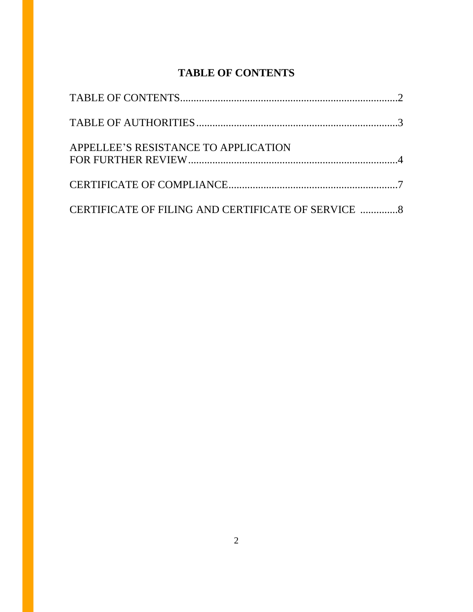# **TABLE OF CONTENTS**

| APPELLEE'S RESISTANCE TO APPLICATION                |  |
|-----------------------------------------------------|--|
|                                                     |  |
| CERTIFICATE OF FILING AND CERTIFICATE OF SERVICE  8 |  |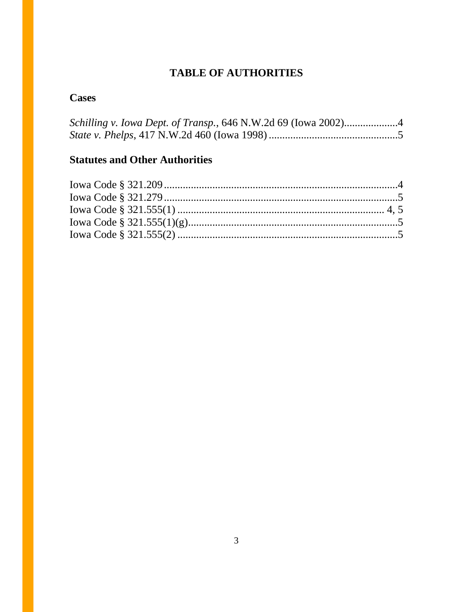# **TABLE OF AUTHORITIES**

## **Cases**

# **Statutes and Other Authorities**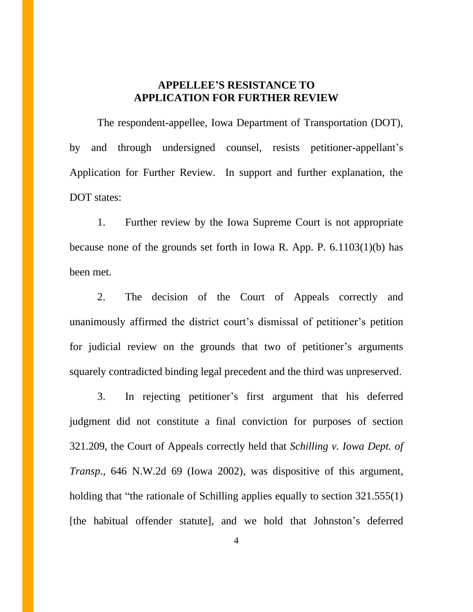### **APPELLEE'S RESISTANCE TO APPLICATION FOR FURTHER REVIEW**

The respondent-appellee, Iowa Department of Transportation (DOT), by and through undersigned counsel, resists petitioner-appellant's Application for Further Review. In support and further explanation, the DOT states:

1. Further review by the Iowa Supreme Court is not appropriate because none of the grounds set forth in Iowa R. App. P. 6.1103(1)(b) has been met.

2. The decision of the Court of Appeals correctly and unanimously affirmed the district court's dismissal of petitioner's petition for judicial review on the grounds that two of petitioner's arguments squarely contradicted binding legal precedent and the third was unpreserved.

3. In rejecting petitioner's first argument that his deferred judgment did not constitute a final conviction for purposes of section 321.209, the Court of Appeals correctly held that *Schilling v. Iowa Dept. of Transp*., 646 N.W.2d 69 (Iowa 2002), was dispositive of this argument, holding that "the rationale of Schilling applies equally to section 321.555(1) [the habitual offender statute], and we hold that Johnston's deferred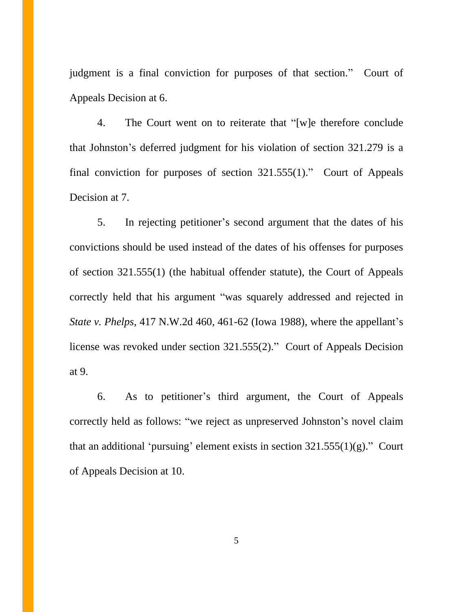judgment is a final conviction for purposes of that section." Court of Appeals Decision at 6.

4. The Court went on to reiterate that "[w]e therefore conclude that Johnston's deferred judgment for his violation of section 321.279 is a final conviction for purposes of section 321.555(1)." Court of Appeals Decision at 7.

5. In rejecting petitioner's second argument that the dates of his convictions should be used instead of the dates of his offenses for purposes of section 321.555(1) (the habitual offender statute), the Court of Appeals correctly held that his argument "was squarely addressed and rejected in *State v. Phelps*, 417 N.W.2d 460, 461-62 (Iowa 1988), where the appellant's license was revoked under section 321.555(2)." Court of Appeals Decision at 9.

6. As to petitioner's third argument, the Court of Appeals correctly held as follows: "we reject as unpreserved Johnston's novel claim that an additional 'pursuing' element exists in section  $321.555(1)(g)$ ." Court of Appeals Decision at 10.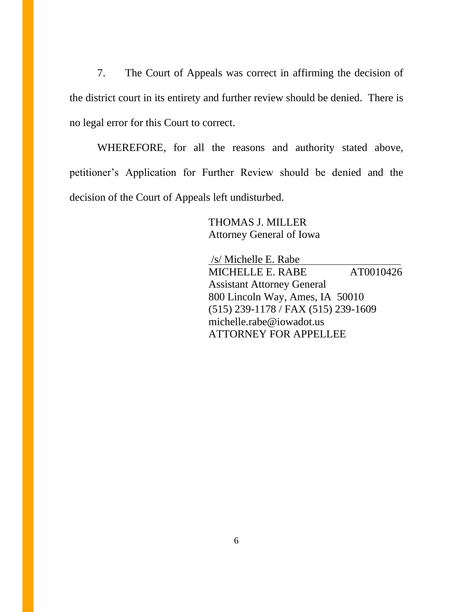7. The Court of Appeals was correct in affirming the decision of the district court in its entirety and further review should be denied. There is no legal error for this Court to correct.

WHEREFORE, for all the reasons and authority stated above, petitioner's Application for Further Review should be denied and the decision of the Court of Appeals left undisturbed.

> THOMAS J. MILLER Attorney General of Iowa

 /s/ Michelle E. Rabe MICHELLE E. RABE AT0010426 Assistant Attorney General 800 Lincoln Way, Ames, IA 50010 (515) 239-1178 / FAX (515) 239-1609 michelle.rabe@iowadot.us ATTORNEY FOR APPELLEE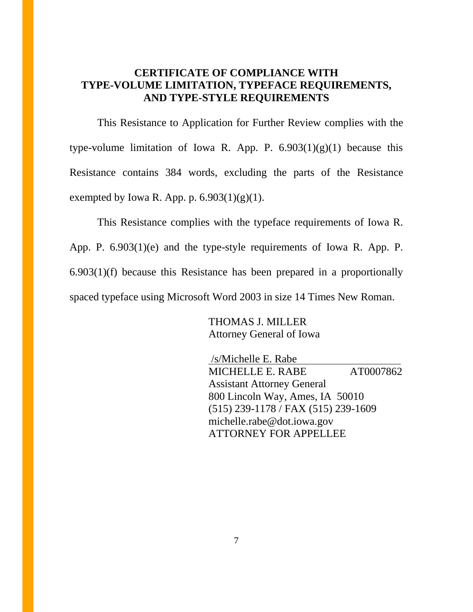## **CERTIFICATE OF COMPLIANCE WITH TYPE-VOLUME LIMITATION, TYPEFACE REQUIREMENTS, AND TYPE-STYLE REQUIREMENTS**

This Resistance to Application for Further Review complies with the type-volume limitation of Iowa R. App. P.  $6.903(1)(g)(1)$  because this Resistance contains 384 words, excluding the parts of the Resistance exempted by Iowa R. App. p.  $6.903(1)(g)(1)$ .

This Resistance complies with the typeface requirements of Iowa R. App. P. 6.903(1)(e) and the type-style requirements of Iowa R. App. P. 6.903(1)(f) because this Resistance has been prepared in a proportionally spaced typeface using Microsoft Word 2003 in size 14 Times New Roman.

> THOMAS J. MILLER Attorney General of Iowa

 /s/Michelle E. Rabe MICHELLE E. RABE AT0007862 Assistant Attorney General 800 Lincoln Way, Ames, IA 50010 (515) 239-1178 / FAX (515) 239-1609 michelle.rabe@dot.iowa.gov ATTORNEY FOR APPELLEE